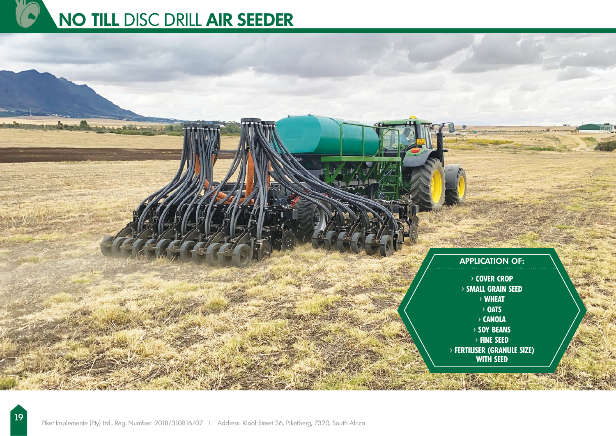



19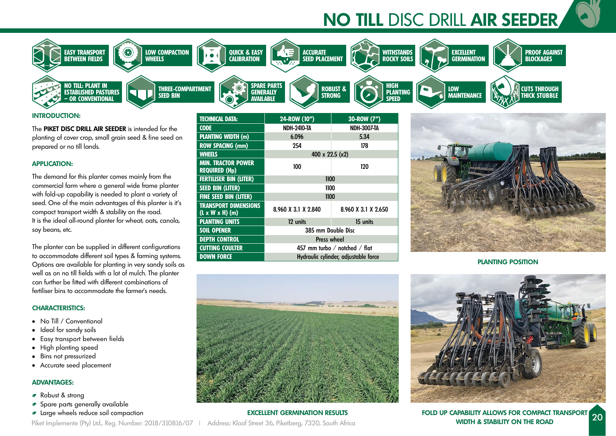# **NO TILL** DISC DRILL **AIR SEEDER**



# **INTRODUCTION:**

The **PIKET DISC DRILL AIR SEEDER** is intended for the planting of cover crop, small grain seed & fine seed on prepared or no till lands.

# **APPLICATION:**

The demand for this planter comes mainly from the commercial farm where a general wide frame planter with fold-up capability is needed to plant a variety of seed. One of the main advantages of this planter is it's compact transport width & stability on the road. It is the ideal all-round planter for wheat, oats, canola, soy beans, etc.

The planter can be supplied in different configurations to accommodate different soil types & farming systems. Options are available for planting in very sandy soils as well as on no till fields with a lot of mulch. The planter can further be fitted with different combinations of fertiliser bins to accommodate the farmer's needs.

#### **CHARACTERISTICS:**

- No Till / Conventional
- Ideal for sandy soils
- Easy transport between fields
- High planting speed
- Bins not pressurized
- Accurate seed placement

# **ADVANTAGES:**

- Robust & strong
- Spare parts generally available
- 

| TECHNICAL DATA:                                            | 24-ROW (10")                         | 30-ROW (7")         |
|------------------------------------------------------------|--------------------------------------|---------------------|
| <b>CODE</b>                                                | <b>NDH-2410-TA</b>                   | <b>NDH-3007-TA</b>  |
| <b>PLANTING WIDTH (m)</b>                                  | 6.096                                | 5.34                |
| <b>ROW SPACING (mm)</b>                                    | 254                                  | 178                 |
| <b>WHEELS</b>                                              | 400 x 22.5 (x2)                      |                     |
| <b>MIN. TRACTOR POWER</b><br><b>REQUIRED (Hp)</b>          | 100                                  | 120                 |
| <b>FERTILISER BIN (LITER)</b>                              | 1100                                 |                     |
| <b>SEED BIN (LITER)</b>                                    | 1100                                 |                     |
| <b>FINE SEED BIN (LITER)</b>                               | 1100                                 |                     |
| <b>TRANSPORT DIMENSIONS</b><br>$(L \times W \times H)$ (m) | 8.960 X 3.1 X 2.840                  | 8.960 X 3.1 X 2.650 |
| <b>PLANTING UNITS</b>                                      | 12 units                             | 15 units            |
| <b>SOIL OPENER</b>                                         | 385 mm Double Disc                   |                     |
| <b>DEPTH CONTROL</b>                                       | <b>Press wheel</b>                   |                     |
| <b>CUTTING COULTER</b>                                     | 457 mm turbo / notched / flat        |                     |
| <b>DOWN FORCE</b>                                          | Hydraulic cylinder, adjustable force |                     |



**PLANTING POSITION**



**EXCELLENT GERMINATION RESULTS** Piket Implemente (Pty) Ltd., Reg. Number: 2018/310816/07 | Address: Kloof Street 36, Piketberg, 7320, South Africa

Large wheels reduce soil compaction **FOLD UP CAPABILITY ALLOWS FOR COMPACT TRANSPORT WIDTH & STABILITY ON THE ROAD** <u>| 20</u>